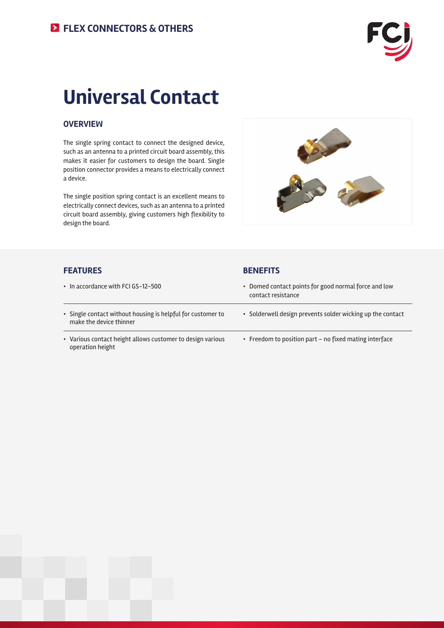

# **Universal Contact**

#### **OVERVIEW**

The single spring contact to connect the designed device, such as an antenna to a printed circuit board assembly, this makes it easier for customers to design the board. Single position connector provides a means to electrically connect a device.

The single position spring contact is an excellent means to electrically connect devices, such as an antenna to a printed circuit board assembly, giving customers high flexibility to design the board.



#### **FEATURES BENEFITS**

| • In accordance with FCI GS-12-500                                                     | • Domed contact points for good normal force and low<br>contact resistance |
|----------------------------------------------------------------------------------------|----------------------------------------------------------------------------|
| • Single contact without housing is helpful for customer to<br>make the device thinner | • Solderwell design prevents solder wicking up the contact                 |
| • Various contact height allows customer to design various<br>operation height         | • Freedom to position part - no fixed mating interface                     |